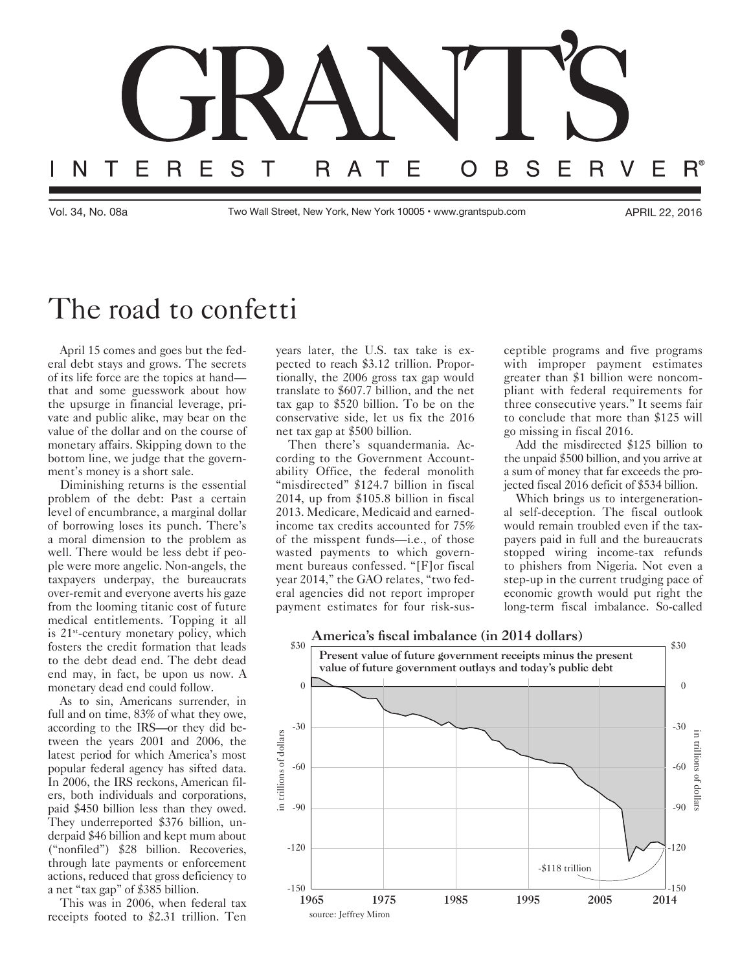

Vol. 34, No. 08a Two Wall Street, New York, New York 10005 • [www.grantspub.com](http://www.grantspub.com) APRIL 22, 2016

## The road to confetti

April 15 comes and goes but the federal debt stays and grows. The secrets of its life force are the topics at hand that and some guesswork about how the upsurge in financial leverage, private and public alike, may bear on the value of the dollar and on the course of monetary affairs. Skipping down to the bottom line, we judge that the government's money is a short sale.

Diminishing returns is the essential problem of the debt: Past a certain level of encumbrance, a marginal dollar of borrowing loses its punch. There's a moral dimension to the problem as well. There would be less debt if people were more angelic. Non-angels, the taxpayers underpay, the bureaucrats over-remit and everyone averts his gaze from the looming titanic cost of future medical entitlements. Topping it all is 21<sup>st</sup>-century monetary policy, which fosters the credit formation that leads to the debt dead end. The debt dead end may, in fact, be upon us now. A monetary dead end could follow.

As to sin, Americans surrender, in full and on time, 83% of what they owe, according to the IRS—or they did between the years 2001 and 2006, the latest period for which America's most popular federal agency has sifted data. In 2006, the IRS reckons, American filers, both individuals and corporations, paid \$450 billion less than they owed. They underreported \$376 billion, underpaid \$46 billion and kept mum about ("nonfiled") \$28 billion. Recoveries, through late payments or enforcement actions, reduced that gross deficiency to a net "tax gap" of \$385 billion.

This was in 2006, when federal tax receipts footed to \$2.31 trillion. Ten years later, the U.S. tax take is expected to reach \$3.12 trillion. Proportionally, the 2006 gross tax gap would translate to \$607.7 billion, and the net tax gap to \$520 billion. To be on the conservative side, let us fix the 2016 net tax gap at \$500 billion.

Then there's squandermania. According to the Government Accountability Office, the federal monolith "misdirected" \$124.7 billion in fiscal 2014, up from \$105.8 billion in fiscal 2013. Medicare, Medicaid and earnedincome tax credits accounted for 75% of the misspent funds—i.e., of those wasted payments to which government bureaus confessed. "[F]or fiscal year 2014," the GAO relates, "two federal agencies did not report improper payment estimates for four risk-susceptible programs and five programs with improper payment estimates greater than \$1 billion were noncompliant with federal requirements for three consecutive years." It seems fair to conclude that more than \$125 will go missing in fiscal 2016.

Add the misdirected \$125 billion to the unpaid \$500 billion, and you arrive at a sum of money that far exceeds the projected fiscal 2016 deficit of \$534 billion.

Which brings us to intergenerational self-deception. The fiscal outlook would remain troubled even if the taxpayers paid in full and the bureaucrats stopped wiring income-tax refunds to phishers from Nigeria. Not even a step-up in the current trudging pace of economic growth would put right the long-term fiscal imbalance. So-called

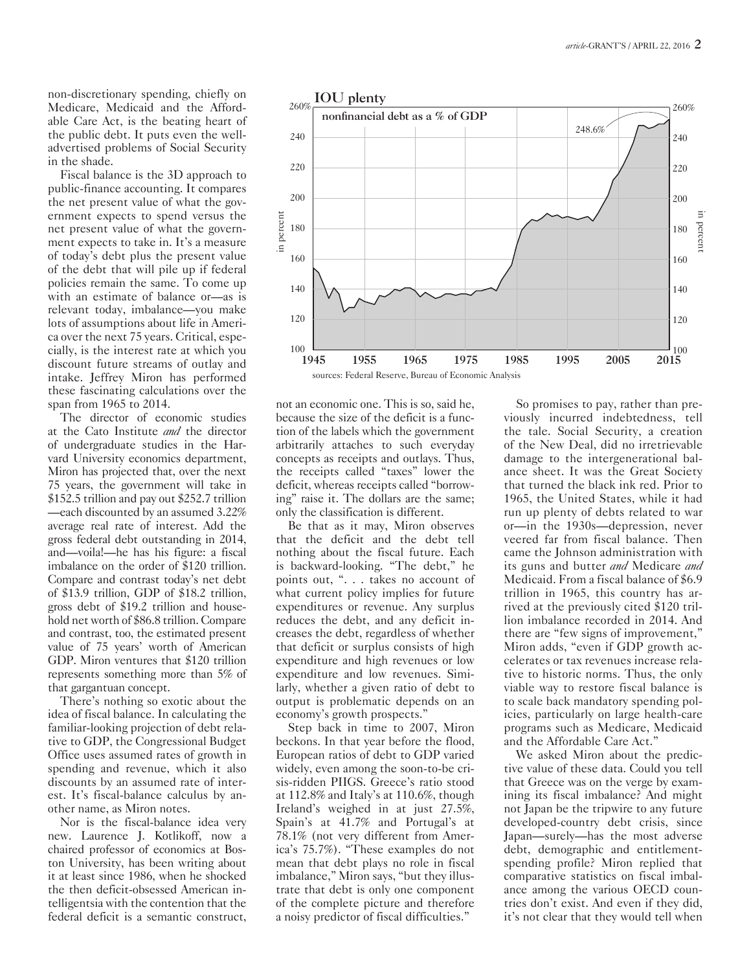non-discretionary spending, chiefly on Medicare, Medicaid and the Affordable Care Act, is the beating heart of the public debt. It puts even the welladvertised problems of Social Security in the shade.

Fiscal balance is the 3D approach to public-finance accounting. It compares the net present value of what the government expects to spend versus the net present value of what the government expects to take in. It's a measure of today's debt plus the present value of the debt that will pile up if federal policies remain the same. To come up with an estimate of balance or—as is relevant today, imbalance—you make lots of assumptions about life in America over the next 75 years. Critical, especially, is the interest rate at which you discount future streams of outlay and intake. Jeffrey Miron has performed these fascinating calculations over the span from 1965 to 2014.

The director of economic studies at the Cato Institute *and* the director of undergraduate studies in the Harvard University economics department, Miron has projected that, over the next 75 years, the government will take in \$152.5 trillion and pay out \$252.7 trillion —each discounted by an assumed 3.22% average real rate of interest. Add the gross federal debt outstanding in 2014, and—voila!—he has his figure: a fiscal imbalance on the order of \$120 trillion. Compare and contrast today's net debt of \$13.9 trillion, GDP of \$18.2 trillion, gross debt of \$19.2 trillion and household net worth of \$86.8 trillion. Compare and contrast, too, the estimated present value of 75 years' worth of American GDP. Miron ventures that \$120 trillion represents something more than 5% of that gargantuan concept.

There's nothing so exotic about the idea of fiscal balance. In calculating the familiar-looking projection of debt relative to GDP, the Congressional Budget Office uses assumed rates of growth in spending and revenue, which it also discounts by an assumed rate of interest. It's fiscal-balance calculus by another name, as Miron notes.

Nor is the fiscal-balance idea very new. Laurence J. Kotlikoff, now a chaired professor of economics at Boston University, has been writing about it at least since 1986, when he shocked the then deficit-obsessed American intelligentsia with the contention that the federal deficit is a semantic construct,



not an economic one. This is so, said he, because the size of the deficit is a function of the labels which the government arbitrarily attaches to such everyday concepts as receipts and outlays. Thus, the receipts called "taxes" lower the deficit, whereas receipts called "borrowing" raise it. The dollars are the same; only the classification is different.

Be that as it may, Miron observes that the deficit and the debt tell nothing about the fiscal future. Each is backward-looking. "The debt," he points out, ". . . takes no account of what current policy implies for future expenditures or revenue. Any surplus reduces the debt, and any deficit increases the debt, regardless of whether that deficit or surplus consists of high expenditure and high revenues or low expenditure and low revenues. Similarly, whether a given ratio of debt to output is problematic depends on an economy's growth prospects."

Step back in time to 2007, Miron beckons. In that year before the flood, European ratios of debt to GDP varied widely, even among the soon-to-be crisis-ridden PIIGS. Greece's ratio stood at 112.8% and Italy's at 110.6%, though Ireland's weighed in at just 27.5%, Spain's at 41.7% and Portugal's at 78.1% (not very different from America's 75.7%). "These examples do not mean that debt plays no role in fiscal imbalance," Miron says, "but they illustrate that debt is only one component of the complete picture and therefore a noisy predictor of fiscal difficulties."

So promises to pay, rather than previously incurred indebtedness, tell the tale. Social Security, a creation of the New Deal, did no irretrievable damage to the intergenerational balance sheet. It was the Great Society that turned the black ink red. Prior to 1965, the United States, while it had run up plenty of debts related to war or—in the 1930s—depression, never veered far from fiscal balance. Then came the Johnson administration with its guns and butter *and* Medicare *and*  Medicaid. From a fiscal balance of \$6.9 trillion in 1965, this country has arrived at the previously cited \$120 trillion imbalance recorded in 2014. And there are "few signs of improvement," Miron adds, "even if GDP growth accelerates or tax revenues increase relative to historic norms. Thus, the only viable way to restore fiscal balance is to scale back mandatory spending policies, particularly on large health-care programs such as Medicare, Medicaid and the Affordable Care Act."

We asked Miron about the predictive value of these data. Could you tell that Greece was on the verge by examining its fiscal imbalance? And might not Japan be the tripwire to any future developed-country debt crisis, since Japan—surely—has the most adverse debt, demographic and entitlementspending profile? Miron replied that comparative statistics on fiscal imbalance among the various OECD countries don't exist. And even if they did, it's not clear that they would tell when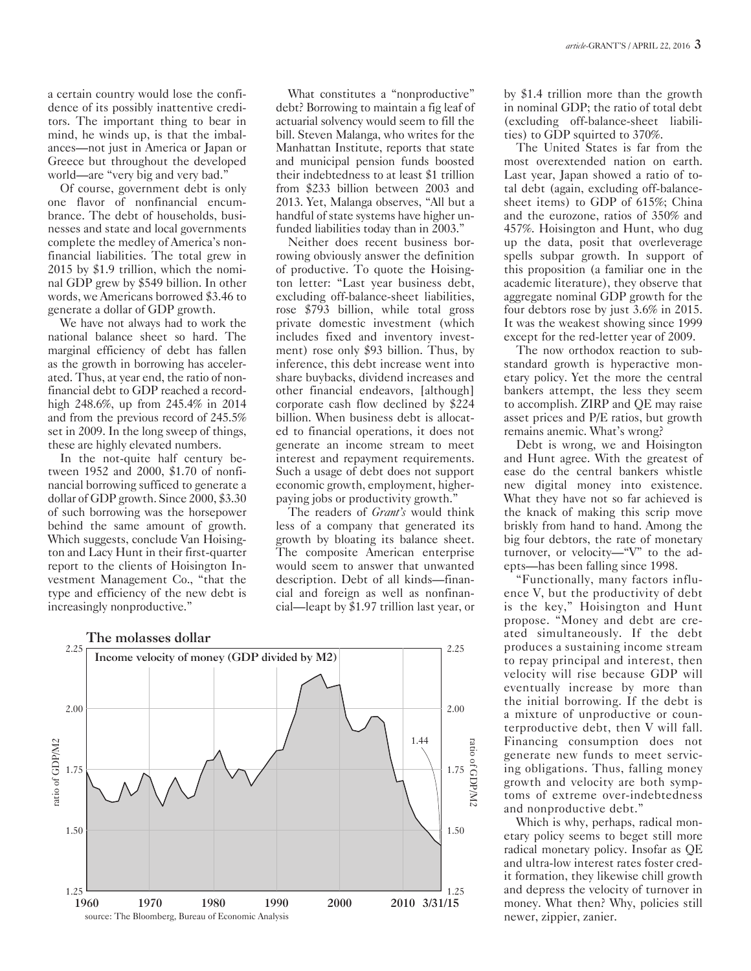a certain country would lose the confidence of its possibly inattentive creditors. The important thing to bear in mind, he winds up, is that the imbalances—not just in America or Japan or Greece but throughout the developed world—are "very big and very bad."

Of course, government debt is only one flavor of nonfinancial encumbrance. The debt of households, businesses and state and local governments complete the medley of America's nonfinancial liabilities. The total grew in 2015 by \$1.9 trillion, which the nominal GDP grew by \$549 billion. In other words, we Americans borrowed \$3.46 to generate a dollar of GDP growth.

We have not always had to work the national balance sheet so hard. The marginal efficiency of debt has fallen as the growth in borrowing has accelerated. Thus, at year end, the ratio of nonfinancial debt to GDP reached a recordhigh 248.6%, up from 245.4% in 2014 and from the previous record of 245.5% set in 2009. In the long sweep of things, these are highly elevated numbers.

In the not-quite half century between 1952 and 2000, \$1.70 of nonfinancial borrowing sufficed to generate a dollar of GDP growth. Since 2000, \$3.30 of such borrowing was the horsepower behind the same amount of growth. Which suggests, conclude Van Hoisington and Lacy Hunt in their first-quarter report to the clients of Hoisington Investment Management Co., "that the type and efficiency of the new debt is increasingly nonproductive."

What constitutes a "nonproductive" debt? Borrowing to maintain a fig leaf of actuarial solvency would seem to fill the bill. Steven Malanga, who writes for the Manhattan Institute, reports that state and municipal pension funds boosted their indebtedness to at least \$1 trillion from \$233 billion between 2003 and 2013. Yet, Malanga observes, "All but a handful of state systems have higher unfunded liabilities today than in 2003."

Neither does recent business borrowing obviously answer the definition of productive. To quote the Hoisington letter: "Last year business debt, excluding off-balance-sheet liabilities, rose \$793 billion, while total gross private domestic investment (which includes fixed and inventory investment) rose only \$93 billion. Thus, by inference, this debt increase went into share buybacks, dividend increases and other financial endeavors, [although] corporate cash flow declined by \$224 billion. When business debt is allocated to financial operations, it does not generate an income stream to meet interest and repayment requirements. Such a usage of debt does not support economic growth, employment, higherpaying jobs or productivity growth."

The readers of *Grant's* would think less of a company that generated its growth by bloating its balance sheet. The composite American enterprise would seem to answer that unwanted description. Debt of all kinds—financial and foreign as well as nonfinancial—leapt by \$1.97 trillion last year, or



by \$1.4 trillion more than the growth in nominal GDP; the ratio of total debt (excluding off-balance-sheet liabilities) to GDP squirted to 370%.

The United States is far from the most overextended nation on earth. Last year, Japan showed a ratio of total debt (again, excluding off-balancesheet items) to GDP of 615%; China and the eurozone, ratios of 350% and 457%. Hoisington and Hunt, who dug up the data, posit that overleverage spells subpar growth. In support of this proposition (a familiar one in the academic literature), they observe that aggregate nominal GDP growth for the four debtors rose by just 3.6% in 2015. It was the weakest showing since 1999 except for the red-letter year of 2009.

The now orthodox reaction to substandard growth is hyperactive monetary policy. Yet the more the central bankers attempt, the less they seem to accomplish. ZIRP and QE may raise asset prices and P/E ratios, but growth remains anemic. What's wrong?

Debt is wrong, we and Hoisington and Hunt agree. With the greatest of ease do the central bankers whistle new digital money into existence. What they have not so far achieved is the knack of making this scrip move briskly from hand to hand. Among the big four debtors, the rate of monetary turnover, or velocity—"V" to the adepts—has been falling since 1998.

"Functionally, many factors influence V, but the productivity of debt is the key," Hoisington and Hunt propose. "Money and debt are created simultaneously. If the debt produces a sustaining income stream to repay principal and interest, then velocity will rise because GDP will eventually increase by more than the initial borrowing. If the debt is a mixture of unproductive or counterproductive debt, then V will fall. Financing consumption does not generate new funds to meet servicing obligations. Thus, falling money growth and velocity are both symptoms of extreme over-indebtedness and nonproductive debt."

Which is why, perhaps, radical monetary policy seems to beget still more radical monetary policy. Insofar as QE and ultra-low interest rates foster credit formation, they likewise chill growth and depress the velocity of turnover in money. What then? Why, policies still newer, zippier, zanier.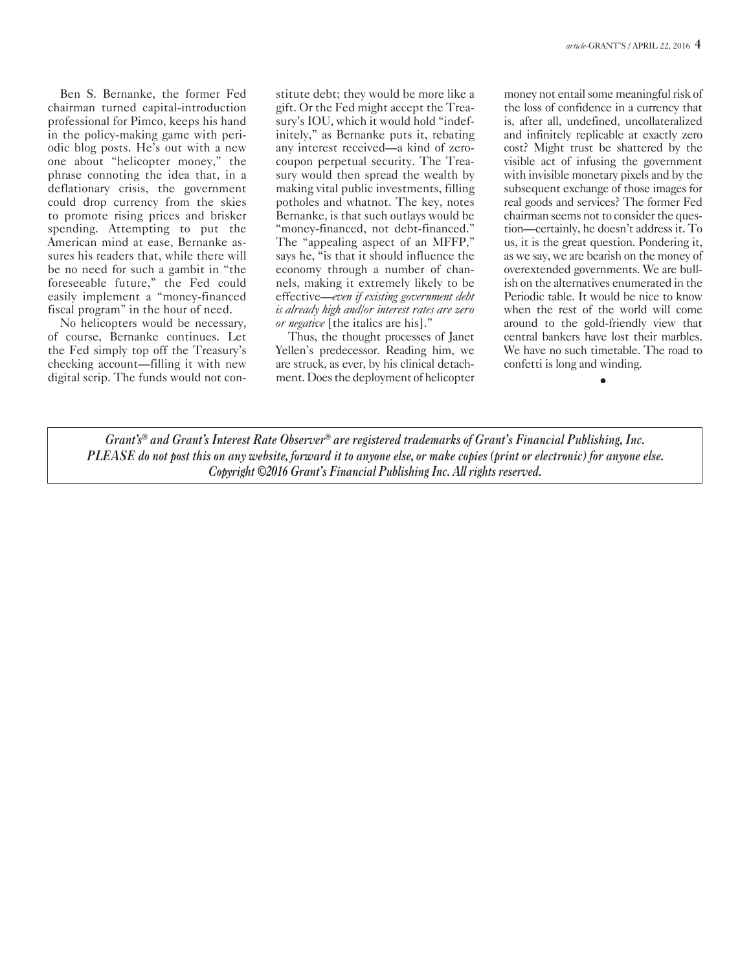Ben S. Bernanke, the former Fed chairman turned capital-introduction professional for Pimco, keeps his hand in the policy-making game with periodic blog posts. He's out with a new one about "helicopter money," the phrase connoting the idea that, in a deflationary crisis, the government could drop currency from the skies to promote rising prices and brisker spending. Attempting to put the American mind at ease, Bernanke assures his readers that, while there will be no need for such a gambit in "the foreseeable future," the Fed could easily implement a "money-financed fiscal program" in the hour of need.

No helicopters would be necessary, of course, Bernanke continues. Let the Fed simply top off the Treasury's checking account—filling it with new digital scrip. The funds would not constitute debt; they would be more like a gift. Or the Fed might accept the Treasury's IOU, which it would hold "indefinitely," as Bernanke puts it, rebating any interest received—a kind of zerocoupon perpetual security. The Treasury would then spread the wealth by making vital public investments, filling potholes and whatnot. The key, notes Bernanke, is that such outlays would be "money-financed, not debt-financed." The "appealing aspect of an MFFP," says he, "is that it should influence the economy through a number of channels, making it extremely likely to be effective—*even if existing government debt is already high and/or interest rates are zero or negative* [the italics are his]."

Thus, the thought processes of Janet Yellen's predecessor. Reading him, we are struck, as ever, by his clinical detachment. Does the deployment of helicopter

money not entail some meaningful risk of the loss of confidence in a currency that is, after all, undefined, uncollateralized and infinitely replicable at exactly zero cost? Might trust be shattered by the visible act of infusing the government with invisible monetary pixels and by the subsequent exchange of those images for real goods and services? The former Fed chairman seems not to consider the question—certainly, he doesn't address it. To us, it is the great question. Pondering it, as we say, we are bearish on the money of overextended governments. We are bullish on the alternatives enumerated in the Periodic table. It would be nice to know when the rest of the world will come around to the gold-friendly view that central bankers have lost their marbles. We have no such timetable. The road to confetti is long and winding.

•

*Grant's® and Grant's Interest Rate Observer® are registered trademarks of Grant's Financial Publishing, Inc. PLEASE do not post this on any website, forward it to anyone else, or make copies (print or electronic) for anyone else. Copyright ©2016 Grant's Financial Publishing Inc. All rights reserved.*